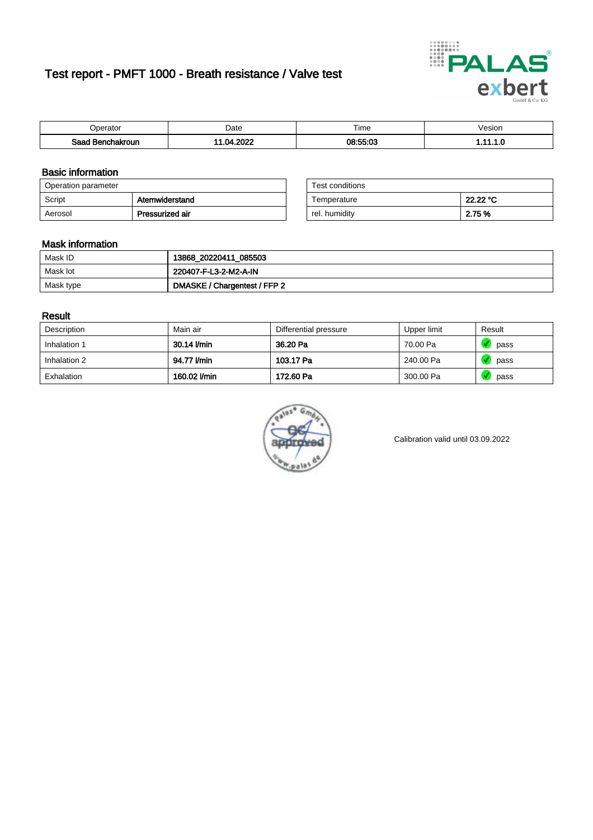# Test report - PMFT 1000 - Breath resistance / Valve test



| )perator                | Date               | $- \cdot$<br>Гіmе | /esion |
|-------------------------|--------------------|-------------------|--------|
| Saad<br><b>chakroun</b> | 2022<br>nи<br>11 Z | 08:55:03          | .      |

### Basic information

| Operation parameter |                 | Test conditions |          |
|---------------------|-----------------|-----------------|----------|
| Script              | Atemwiderstand  | Temperature     | 22.22 °C |
| Aerosol             | Pressurized air | rel. humiditv   | 2.75 %   |

| Test conditions |          |
|-----------------|----------|
| Temperature     | 22.22 °C |
| rel. humidity   | 2.75 %   |

### Mask information

| Mask ID   | 13868_20220411_085503        |
|-----------|------------------------------|
| Mask lot  | 220407-F-L3-2-M2-A-IN        |
| Mask type | DMASKE / Chargentest / FFP 2 |

### Result

| Description  | Main air     | Differential pressure | Upper limit | Result |
|--------------|--------------|-----------------------|-------------|--------|
| Inhalation 1 | 30.14 l/min  | 36.20 Pa              | 70.00 Pa    | pass   |
| Inhalation 2 | 94.77 l/min  | 103.17 Pa             | 240.00 Pa   | pass   |
| Exhalation   | 160.02 l/min | 172.60 Pa             | 300.00 Pa   | pass   |



Calibration valid until 03.09.2022